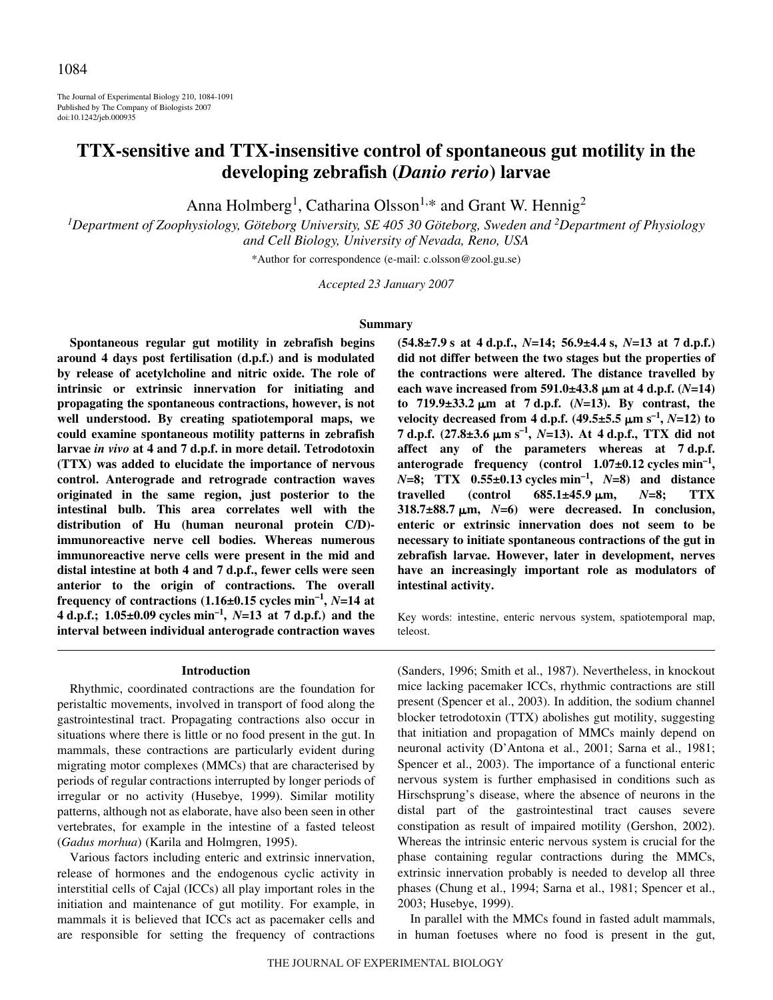The Journal of Experimental Biology 210, 1084-1091 Published by The Company of Biologists 2007 doi:10.1242/jeb.000935

# **TTX-sensitive and TTX-insensitive control of spontaneous gut motility in the developing zebrafish (***Danio rerio***) larvae**

Anna Holmberg<sup>1</sup>, Catharina Olsson<sup>1,\*</sup> and Grant W. Hennig<sup>2</sup>

<sup>1</sup>Department of Zoophysiology, Göteborg University, SE 405 30 Göteborg, Sweden and <sup>2</sup>Department of Physiology *and Cell Biology, University of Nevada, Reno, USA*

\*Author for correspondence (e-mail: c.olsson@zool.gu.se)

*Accepted 23 January 2007*

#### **Summary**

**Spontaneous regular gut motility in zebrafish begins around 4 days post fertilisation (d.p.f.) and is modulated by release of acetylcholine and nitric oxide. The role of intrinsic or extrinsic innervation for initiating and propagating the spontaneous contractions, however, is not well understood. By creating spatiotemporal maps, we could examine spontaneous motility patterns in zebrafish larvae** *in vivo* **at 4 and 7·d.p.f. in more detail. Tetrodotoxin (TTX) was added to elucidate the importance of nervous control. Anterograde and retrograde contraction waves originated in the same region, just posterior to the intestinal bulb. This area correlates well with the distribution of Hu (human neuronal protein C/D) immunoreactive nerve cell bodies. Whereas numerous immunoreactive nerve cells were present in the mid and** distal intestine at both 4 and 7 d.p.f., fewer cells were seen **anterior to the origin of contractions. The overall frequency of contractions**  $(1.16\pm0.15 \text{ cycles min}^{-1}, N=14 \text{ at }$ **4** d.p.f.; 1.05 $\pm$ 0.09 cycles  $\min^{-1}$ , *N*=13 at 7 d.p.f.) and the **interval between individual anterograde contraction waves**

#### **Introduction**

Rhythmic, coordinated contractions are the foundation for peristaltic movements, involved in transport of food along the gastrointestinal tract. Propagating contractions also occur in situations where there is little or no food present in the gut. In mammals, these contractions are particularly evident during migrating motor complexes (MMCs) that are characterised by periods of regular contractions interrupted by longer periods of irregular or no activity (Husebye, 1999). Similar motility patterns, although not as elaborate, have also been seen in other vertebrates, for example in the intestine of a fasted teleost (*Gadus morhua*) (Karila and Holmgren, 1995).

Various factors including enteric and extrinsic innervation, release of hormones and the endogenous cyclic activity in interstitial cells of Cajal (ICCs) all play important roles in the initiation and maintenance of gut motility. For example, in mammals it is believed that ICCs act as pacemaker cells and are responsible for setting the frequency of contractions  $(54.8 \pm 7.9 \text{ s at } 4 \text{ d.p.f., } N=14; 56.9 \pm 4.4 \text{ s, } N=13 \text{ at } 7 \text{ d.p.f.)}$ **did not differ between the two stages but the properties of the contractions were altered. The distance travelled by each wave increased from 591.0±43.8**  $\mu$ m at 4 d.p.f. (*N*=14) **to** 719.9±33.2 µm at 7 d.p.f. (*N*=13). By contrast, the **velocity decreased from 4 d.p.f.** (49.5 $\pm$ 5.5  $\mu$ m s<sup>-1</sup>, *N*=12) to **7·d.p.f. (27.8±3.6·**-**m·s–1,** *N***=13). At 4·d.p.f., TTX did not** affect any of the parameters whereas at 7 d.p.f. anterograde frequency (control 1.07±0.12 cycles min<sup>-1</sup>, *N*=8; TTX  $0.55\pm0.13$  cycles  $min^{-1}$ , *N*=8) and distance  $travelled$  (control  $685.1\pm45.9 \mu m$ , **m,** *N***=8; TTX 318.7±88.7·**-**m,** *N***=6) were decreased. In conclusion, enteric or extrinsic innervation does not seem to be necessary to initiate spontaneous contractions of the gut in zebrafish larvae. However, later in development, nerves have an increasingly important role as modulators of intestinal activity.**

Key words: intestine, enteric nervous system, spatiotemporal map, teleost.

(Sanders, 1996; Smith et al., 1987). Nevertheless, in knockout mice lacking pacemaker ICCs, rhythmic contractions are still present (Spencer et al., 2003). In addition, the sodium channel blocker tetrodotoxin (TTX) abolishes gut motility, suggesting that initiation and propagation of MMCs mainly depend on neuronal activity (D'Antona et al., 2001; Sarna et al., 1981; Spencer et al., 2003). The importance of a functional enteric nervous system is further emphasised in conditions such as Hirschsprung's disease, where the absence of neurons in the distal part of the gastrointestinal tract causes severe constipation as result of impaired motility (Gershon, 2002). Whereas the intrinsic enteric nervous system is crucial for the phase containing regular contractions during the MMCs, extrinsic innervation probably is needed to develop all three phases (Chung et al., 1994; Sarna et al., 1981; Spencer et al., 2003; Husebye, 1999).

In parallel with the MMCs found in fasted adult mammals, in human foetuses where no food is present in the gut,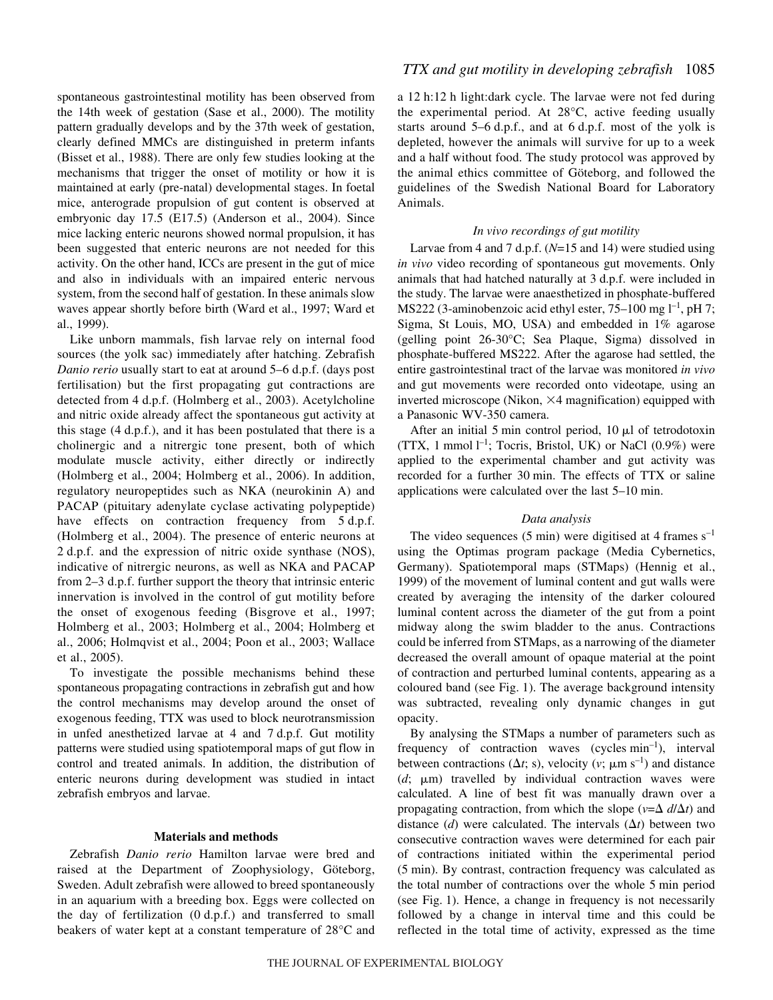spontaneous gastrointestinal motility has been observed from the 14th week of gestation (Sase et al., 2000). The motility pattern gradually develops and by the 37th week of gestation, clearly defined MMCs are distinguished in preterm infants (Bisset et al., 1988). There are only few studies looking at the mechanisms that trigger the onset of motility or how it is maintained at early (pre-natal) developmental stages. In foetal mice, anterograde propulsion of gut content is observed at embryonic day 17.5 (E17.5) (Anderson et al., 2004). Since mice lacking enteric neurons showed normal propulsion, it has been suggested that enteric neurons are not needed for this activity. On the other hand, ICCs are present in the gut of mice and also in individuals with an impaired enteric nervous system, from the second half of gestation. In these animals slow waves appear shortly before birth (Ward et al., 1997; Ward et al., 1999).

Like unborn mammals, fish larvae rely on internal food sources (the yolk sac) immediately after hatching. Zebrafish *Danio rerio* usually start to eat at around 5–6 d.p.f. (days post fertilisation) but the first propagating gut contractions are detected from 4 d.p.f. (Holmberg et al., 2003). Acetylcholine and nitric oxide already affect the spontaneous gut activity at this stage  $(4 d.p.f.),$  and it has been postulated that there is a cholinergic and a nitrergic tone present, both of which modulate muscle activity, either directly or indirectly (Holmberg et al., 2004; Holmberg et al., 2006). In addition, regulatory neuropeptides such as NKA (neurokinin A) and PACAP (pituitary adenylate cyclase activating polypeptide) have effects on contraction frequency from 5 d.p.f. (Holmberg et al., 2004). The presence of enteric neurons at 2 d.p.f. and the expression of nitric oxide synthase (NOS), indicative of nitrergic neurons, as well as NKA and PACAP from 2–3 d.p.f. further support the theory that intrinsic enteric innervation is involved in the control of gut motility before the onset of exogenous feeding (Bisgrove et al., 1997; Holmberg et al., 2003; Holmberg et al., 2004; Holmberg et al., 2006; Holmqvist et al., 2004; Poon et al., 2003; Wallace et al., 2005).

To investigate the possible mechanisms behind these spontaneous propagating contractions in zebrafish gut and how the control mechanisms may develop around the onset of exogenous feeding, TTX was used to block neurotransmission in unfed anesthetized larvae at  $4$  and  $7 d.p.f.$  Gut motility patterns were studied using spatiotemporal maps of gut flow in control and treated animals. In addition, the distribution of enteric neurons during development was studied in intact zebrafish embryos and larvae.

### **Materials and methods**

Zebrafish *Danio rerio* Hamilton larvae were bred and raised at the Department of Zoophysiology, Göteborg, Sweden. Adult zebrafish were allowed to breed spontaneously in an aquarium with a breeding box. Eggs were collected on the day of fertilization  $(0 d.p.f.)$  and transferred to small beakers of water kept at a constant temperature of 28°C and a 12 h:12 h light:dark cycle. The larvae were not fed during the experimental period. At 28°C, active feeding usually starts around  $5-6$  d.p.f., and at  $6$  d.p.f. most of the yolk is depleted, however the animals will survive for up to a week and a half without food. The study protocol was approved by the animal ethics committee of Göteborg, and followed the guidelines of the Swedish National Board for Laboratory Animals.

## *In vivo recordings of gut motility*

Larvae from 4 and 7 d.p.f. (*N*=15 and 14) were studied using *in vivo* video recording of spontaneous gut movements. Only animals that had hatched naturally at 3 d.p.f. were included in the study. The larvae were anaesthetized in phosphate-buffered MS222 (3-aminobenzoic acid ethyl ester,  $75-100$  mg  $1^{-1}$ , pH 7; Sigma, St Louis, MO, USA) and embedded in 1% agarose (gelling point 26-30°C; Sea Plaque, Sigma) dissolved in phosphate-buffered MS222. After the agarose had settled, the entire gastrointestinal tract of the larvae was monitored *in vivo* and gut movements were recorded onto videotape*,* using an inverted microscope (Nikon,  $\times$ 4 magnification) equipped with a Panasonic WV-350 camera.

After an initial 5 min control period,  $10 \mu l$  of tetrodotoxin (TTX, 1 mmol  $l^{-1}$ ; Tocris, Bristol, UK) or NaCl (0.9%) were applied to the experimental chamber and gut activity was recorded for a further 30 min. The effects of TTX or saline applications were calculated over the last  $5-10$  min.

## *Data analysis*

The video sequences (5 min) were digitised at 4 frames  $s^{-1}$ using the Optimas program package (Media Cybernetics, Germany). Spatiotemporal maps (STMaps) (Hennig et al., 1999) of the movement of luminal content and gut walls were created by averaging the intensity of the darker coloured luminal content across the diameter of the gut from a point midway along the swim bladder to the anus. Contractions could be inferred from STMaps, as a narrowing of the diameter decreased the overall amount of opaque material at the point of contraction and perturbed luminal contents, appearing as a coloured band (see Fig. 1). The average background intensity was subtracted, revealing only dynamic changes in gut opacity.

By analysing the STMaps a number of parameters such as frequency of contraction waves (cycles  $min^{-1}$ ), interval between contractions ( $\Delta t$ ; s), velocity (*v*;  $\mu$ m s<sup>-1</sup>) and distance  $(d; \mu m)$  travelled by individual contraction waves were calculated. A line of best fit was manually drawn over a propagating contraction, from which the slope ( $v = \Delta d/\Delta t$ ) and distance  $(d)$  were calculated. The intervals  $(\Delta t)$  between two consecutive contraction waves were determined for each pair of contractions initiated within the experimental period (5 min). By contrast, contraction frequency was calculated as the total number of contractions over the whole 5 min period (see Fig. 1). Hence, a change in frequency is not necessarily followed by a change in interval time and this could be reflected in the total time of activity, expressed as the time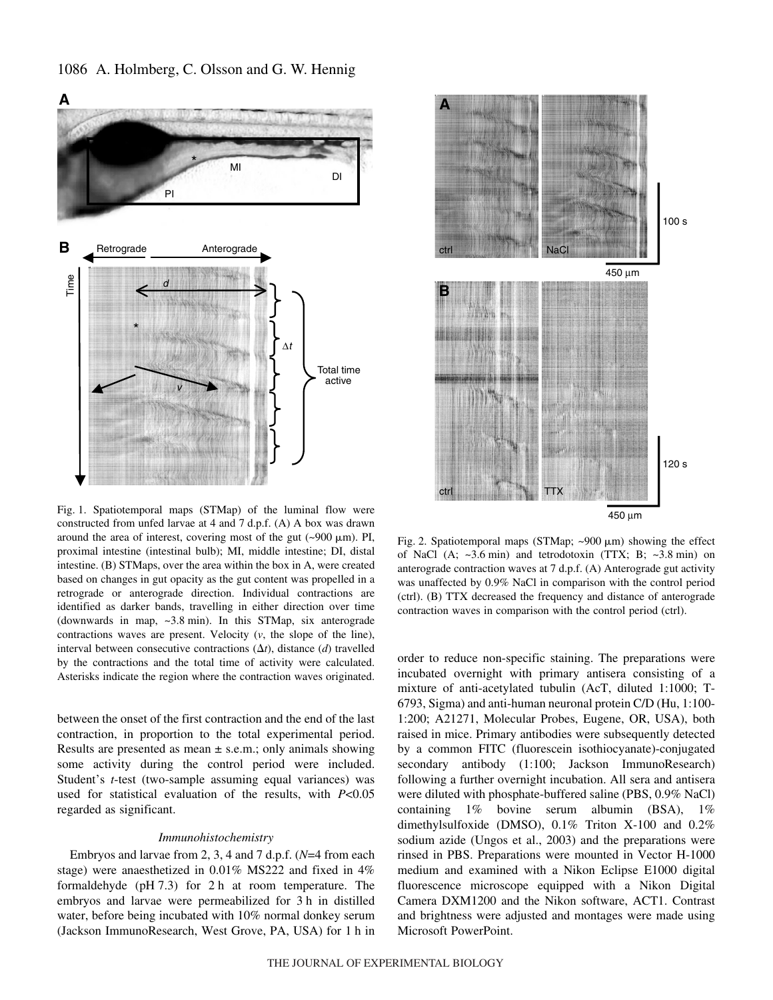

1086 A. Holmberg, C. Olsson and G. W. Hennig

Fig. 1. Spatiotemporal maps (STMap) of the luminal flow were constructed from unfed larvae at 4 and 7 d.p.f.  $(A)$  A box was drawn around the area of interest, covering most of the gut  $(\sim 900 \,\mu m)$ . PI, proximal intestine (intestinal bulb); MI, middle intestine; DI, distal intestine. (B) STMaps, over the area within the box in A, were created based on changes in gut opacity as the gut content was propelled in a retrograde or anterograde direction. Individual contractions are identified as darker bands, travelling in either direction over time (downwards in map,  $\sim$ 3.8 min). In this STMap, six anterograde contractions waves are present. Velocity (*v*, the slope of the line), interval between consecutive contractions  $(\Delta t)$ , distance  $(d)$  travelled by the contractions and the total time of activity were calculated. Asterisks indicate the region where the contraction waves originated.

between the onset of the first contraction and the end of the last contraction, in proportion to the total experimental period. Results are presented as mean  $\pm$  s.e.m.; only animals showing some activity during the control period were included. Student's *t*-test (two-sample assuming equal variances) was used for statistical evaluation of the results, with *P*<0.05 regarded as significant.

#### *Immunohistochemistry*

Embryos and larvae from 2, 3, 4 and 7 d.p.f.  $(N=4$  from each stage) were anaesthetized in 0.01% MS222 and fixed in 4% formaldehyde (pH $7.3$ ) for 2 h at room temperature. The embryos and larvae were permeabilized for 3 h in distilled water, before being incubated with 10% normal donkey serum (Jackson ImmunoResearch, West Grove, PA, USA) for 1 h in



Fig. 2. Spatiotemporal maps (STMap;  $\sim$ 900  $\mu$ m) showing the effect of NaCl (A;  $\sim$ 3.6 min) and tetrodotoxin (TTX; B;  $\sim$ 3.8 min) on anterograde contraction waves at 7 d.p.f. (A) Anterograde gut activity was unaffected by 0.9% NaCl in comparison with the control period (ctrl). (B) TTX decreased the frequency and distance of anterograde contraction waves in comparison with the control period (ctrl).

order to reduce non-specific staining. The preparations were incubated overnight with primary antisera consisting of a mixture of anti-acetylated tubulin (AcT, diluted 1:1000; T-6793, Sigma) and anti-human neuronal protein C/D (Hu, 1:100- 1:200; A21271, Molecular Probes, Eugene, OR, USA), both raised in mice. Primary antibodies were subsequently detected by a common FITC (fluorescein isothiocyanate)-conjugated secondary antibody (1:100; Jackson ImmunoResearch) following a further overnight incubation. All sera and antisera were diluted with phosphate-buffered saline (PBS, 0.9% NaCl) containing 1% bovine serum albumin (BSA), 1% dimethylsulfoxide (DMSO), 0.1% Triton X-100 and 0.2% sodium azide (Ungos et al., 2003) and the preparations were rinsed in PBS. Preparations were mounted in Vector H-1000 medium and examined with a Nikon Eclipse E1000 digital fluorescence microscope equipped with a Nikon Digital Camera DXM1200 and the Nikon software, ACT1. Contrast and brightness were adjusted and montages were made using Microsoft PowerPoint.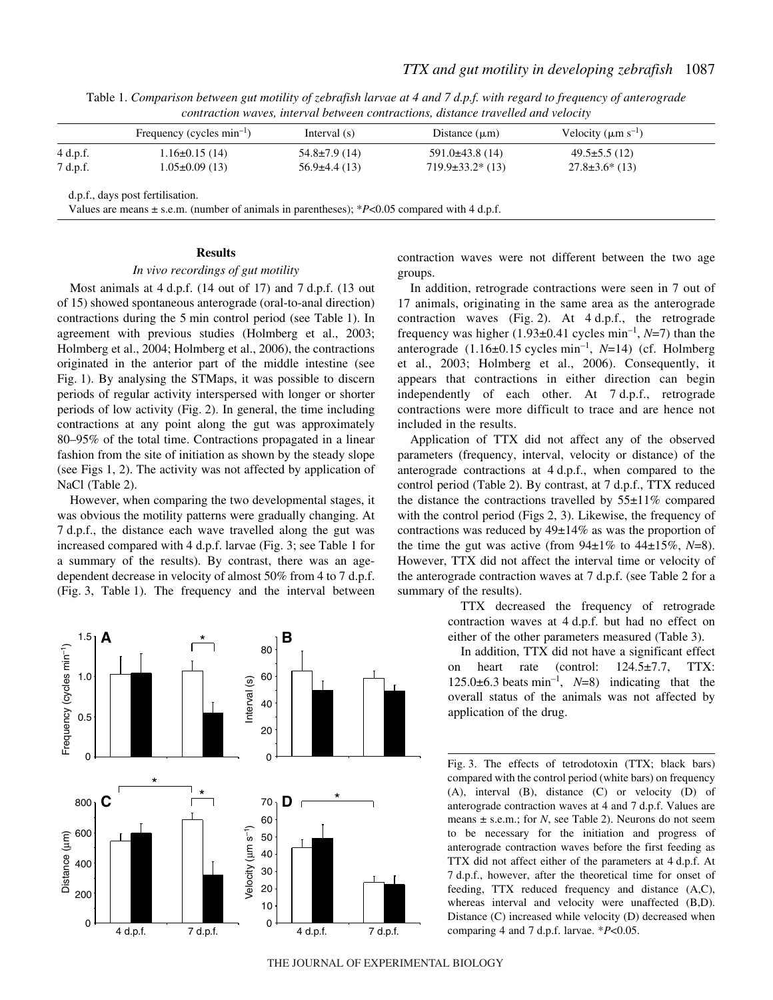|          | Frequency (cycles $min^{-1}$ ) | Interval $(s)$      | Distance $(\mu m)$   | Velocity $(\mu m s^{-1})$ |
|----------|--------------------------------|---------------------|----------------------|---------------------------|
| 4 d.p.f. | $1.16\pm0.15(14)$              | $54.8 \pm 7.9$ (14) | $591.0\pm 43.8$ (14) | $49.5 \pm 5.5(12)$        |
| 7 d.p.f. | $1.05 \pm 0.09$ (13)           | $56.9\pm4.4(13)$    | $719.9\pm33.2*(13)$  | $27.8 \pm 3.6^*$ (13)     |

Table 1. *Comparison between gut motility of zebrafish larvae at 4 and 7 d.p.f. with regard to frequency of anterograde contraction waves, interval between contractions, distance travelled and velocity*

**Results**

## *In vivo recordings of gut motility*

Most animals at  $4 d.p.f.$  (14 out of 17) and  $7 d.p.f.$  (13 out of 15) showed spontaneous anterograde (oral-to-anal direction) contractions during the 5 min control period (see Table 1). In agreement with previous studies (Holmberg et al., 2003; Holmberg et al., 2004; Holmberg et al., 2006), the contractions originated in the anterior part of the middle intestine (see Fig. 1). By analysing the STMaps, it was possible to discern periods of regular activity interspersed with longer or shorter periods of low activity (Fig. 2). In general, the time including contractions at any point along the gut was approximately 80–95% of the total time. Contractions propagated in a linear fashion from the site of initiation as shown by the steady slope (see Figs  $1, 2$ ). The activity was not affected by application of NaCl (Table 2).

However, when comparing the two developmental stages, it was obvious the motility patterns were gradually changing. At 7 d.p.f., the distance each wave travelled along the gut was increased compared with 4 d.p.f. larvae (Fig. 3; see Table 1 for a summary of the results). By contrast, there was an agedependent decrease in velocity of almost  $50\%$  from 4 to 7 d.p.f. (Fig. 3, Table 1). The frequency and the interval between



contraction waves were not different between the two age groups.

In addition, retrograde contractions were seen in 7 out of 17 animals, originating in the same area as the anterograde contraction waves (Fig. 2). At  $4 d.p.f.,$  the retrograde frequency was higher  $(1.93\pm0.41$  cycles min<sup>-1</sup>, *N*=7) than the anterograde  $(1.16\pm0.15 \text{ cycles min}^{-1}, N=14)$  (cf. Holmberg et al., 2003; Holmberg et al., 2006). Consequently, it appears that contractions in either direction can begin independently of each other. At 7 d.p.f., retrograde contractions were more difficult to trace and are hence not included in the results.

Application of TTX did not affect any of the observed parameters (frequency, interval, velocity or distance) of the anterograde contractions at 4 d.p.f., when compared to the control period (Table 2). By contrast, at 7 d.p.f., TTX reduced the distance the contractions travelled by  $55\pm11\%$  compared with the control period (Figs 2, 3). Likewise, the frequency of contractions was reduced by 49±14% as was the proportion of the time the gut was active (from  $94\pm1\%$  to  $44\pm15\%$ ,  $N=8$ ). However, TTX did not affect the interval time or velocity of the anterograde contraction waves at  $7 d.p.f.$  (see Table  $2$  for a summary of the results).

> TTX decreased the frequency of retrograde contraction waves at 4 d.p.f. but had no effect on either of the other parameters measured (Table 3).

> In addition, TTX did not have a significant effect on heart rate (control: 124.5±7.7, TTX: 125.0 $\pm$ 6.3 beats min<sup>-1</sup>, *N*=8) indicating that the overall status of the animals was not affected by application of the drug.

> Fig. 3. The effects of tetrodotoxin (TTX; black bars) compared with the control period (white bars) on frequency (A), interval (B), distance (C) or velocity (D) of anterograde contraction waves at 4 and 7 d.p.f. Values are means  $\pm$  s.e.m.; for *N*, see Table 2). Neurons do not seem to be necessary for the initiation and progress of anterograde contraction waves before the first feeding as TTX did not affect either of the parameters at 4 d.p.f. At 7 d.p.f., however, after the theoretical time for onset of feeding, TTX reduced frequency and distance (A,C), whereas interval and velocity were unaffected (B,D). Distance (C) increased while velocity (D) decreased when comparing 4 and 7 d.p.f. larvae. \**P*<0.05.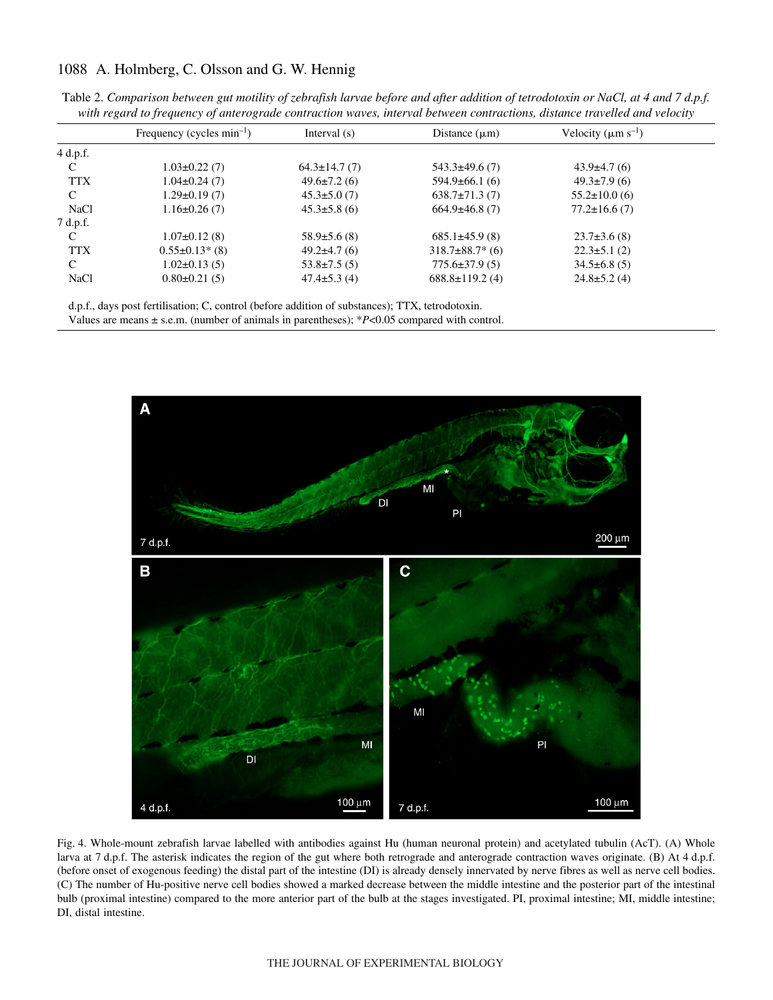# 1088 A. Holmberg, C. Olsson and G. W. Hennig

|             | Frequency (cycles $min^{-1}$ ) | Interval $(s)$     | Distance $(\mu m)$    | Velocity ( $\mu$ m s <sup>-1</sup> ) |
|-------------|--------------------------------|--------------------|-----------------------|--------------------------------------|
| $4$ d.p.f.  |                                |                    |                       |                                      |
| C           | $1.03 \pm 0.22$ (7)            | $64.3 \pm 14.7(7)$ | $543.3 \pm 49.6(7)$   | $43.9\pm4.7(6)$                      |
| <b>TTX</b>  | $1.04 \pm 0.24$ (7)            | $49.6 \pm 7.2(6)$  | $594.9\pm 66.1(6)$    | $49.3 \pm 7.9(6)$                    |
| C           | $1.29 \pm 0.19(7)$             | $45.3 \pm 5.0(7)$  | $638.7\pm71.3(7)$     | $55.2 \pm 10.0$ (6)                  |
| <b>NaCl</b> | $1.16\pm0.26(7)$               | $45.3 \pm 5.8$ (6) | $664.9\pm46.8(7)$     | $77.2 \pm 16.6(7)$                   |
| 7 d.p.f.    |                                |                    |                       |                                      |
| C           | $1.07\pm0.12(8)$               | $58.9 \pm 5.6$ (8) | $685.1\pm45.9(8)$     | $23.7\pm3.6(8)$                      |
| <b>TTX</b>  | $0.55 \pm 0.13$ * (8)          | $49.2\pm4.7(6)$    | $318.7\pm88.7*$ (6)   | $22.3 \pm 5.1$ (2)                   |
| C           | $1.02 \pm 0.13(5)$             | $53.8 \pm 7.5(5)$  | $775.6 \pm 37.9(5)$   | $34.5\pm 6.8(5)$                     |
| <b>NaCl</b> | $0.80 \pm 0.21(5)$             | $47.4 \pm 5.3$ (4) | $688.8 \pm 119.2$ (4) | $24.8 \pm 5.2$ (4)                   |

Table 2. Comparison between gut motility of zebrafish larvae before and after addition of tetrodotoxin or NaCl, at 4 and 7 d.p.f. *with regard to frequency of anterograde contraction waves, interval between contractions, distance travelled and velocity*

d.p.f., days post fertilisation; C, control (before addition of substances); TTX, tetrodotoxin. Values are means ± s.e.m. (number of animals in parentheses); \**P*<0.05 compared with control.



Fig. 4. Whole-mount zebrafish larvae labelled with antibodies against Hu (human neuronal protein) and acetylated tubulin (AcT). (A) Whole larva at 7 d.p.f. The asterisk indicates the region of the gut where both retrograde and anterograde contraction waves originate. (B) At 4 d.p.f. (before onset of exogenous feeding) the distal part of the intestine (DI) is already densely innervated by nerve fibres as well as nerve cell bodies. (C) The number of Hu-positive nerve cell bodies showed a marked decrease between the middle intestine and the posterior part of the intestinal bulb (proximal intestine) compared to the more anterior part of the bulb at the stages investigated. PI, proximal intestine; MI, middle intestine; DI, distal intestine.

#### THE JOURNAL OF EXPERIMENTAL BIOLOGY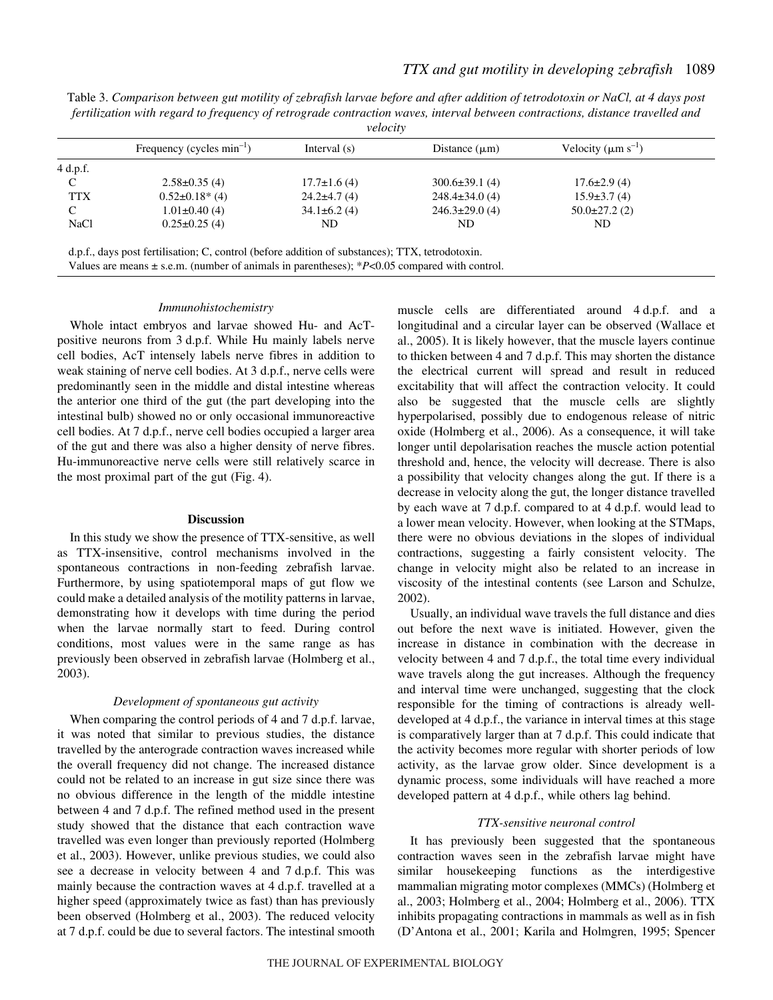Table 3. Comparison between gut motility of zebrafish larvae before and after addition of tetrodotoxin or NaCl, at 4 days post *fertilization with regard to frequency of retrograde contraction waves, interval between contractions, distance travelled and velocity*

|             | Frequency (cycles $min^{-1}$ ) | Interval $(s)$     | Distance $(\mu m)$   | Velocity ( $\mu$ m s <sup>-1</sup> ) |
|-------------|--------------------------------|--------------------|----------------------|--------------------------------------|
| $4$ d.p.f.  |                                |                    |                      |                                      |
|             | $2.58 \pm 0.35$ (4)            | $17.7 \pm 1.6$ (4) | $300.6 \pm 39.1(4)$  | $17.6 \pm 2.9$ (4)                   |
| <b>TTX</b>  | $0.52 \pm 0.18$ * (4)          | $24.2\pm4.7(4)$    | $248.4 \pm 34.0$ (4) | $15.9\pm3.7(4)$                      |
| C           | $1.01 \pm 0.40(4)$             | $34.1\pm 6.2(4)$   | $246.3 \pm 29.0$ (4) | $50.0\pm27.2(2)$                     |
| <b>NaCl</b> | $0.25 \pm 0.25$ (4)            | ND                 | ND                   | ND                                   |

Values are means ± s.e.m. (number of animals in parentheses); \**P*<0.05 compared with control.

#### *Immunohistochemistry*

Whole intact embryos and larvae showed Hu- and AcTpositive neurons from 3 d.p.f. While Hu mainly labels nerve cell bodies, AcT intensely labels nerve fibres in addition to weak staining of nerve cell bodies. At 3 d.p.f., nerve cells were predominantly seen in the middle and distal intestine whereas the anterior one third of the gut (the part developing into the intestinal bulb) showed no or only occasional immunoreactive cell bodies. At 7 d.p.f., nerve cell bodies occupied a larger area of the gut and there was also a higher density of nerve fibres. Hu-immunoreactive nerve cells were still relatively scarce in the most proximal part of the gut  $(Fig. 4)$ .

#### **Discussion**

In this study we show the presence of TTX-sensitive, as well as TTX-insensitive, control mechanisms involved in the spontaneous contractions in non-feeding zebrafish larvae. Furthermore, by using spatiotemporal maps of gut flow we could make a detailed analysis of the motility patterns in larvae, demonstrating how it develops with time during the period when the larvae normally start to feed. During control conditions, most values were in the same range as has previously been observed in zebrafish larvae (Holmberg et al., 2003).

## *Development of spontaneous gut activity*

When comparing the control periods of  $4$  and  $7$  d.p.f. larvae, it was noted that similar to previous studies, the distance travelled by the anterograde contraction waves increased while the overall frequency did not change. The increased distance could not be related to an increase in gut size since there was no obvious difference in the length of the middle intestine between 4 and 7 d.p.f. The refined method used in the present study showed that the distance that each contraction wave travelled was even longer than previously reported (Holmberg et al., 2003). However, unlike previous studies, we could also see a decrease in velocity between 4 and 7 d.p.f. This was mainly because the contraction waves at 4 d.p.f. travelled at a higher speed (approximately twice as fast) than has previously been observed (Holmberg et al., 2003). The reduced velocity at 7 d.p.f. could be due to several factors. The intestinal smooth muscle cells are differentiated around 4 d.p.f. and a longitudinal and a circular layer can be observed (Wallace et al., 2005). It is likely however, that the muscle layers continue to thicken between 4 and 7 d.p.f. This may shorten the distance the electrical current will spread and result in reduced excitability that will affect the contraction velocity. It could also be suggested that the muscle cells are slightly hyperpolarised, possibly due to endogenous release of nitric oxide (Holmberg et al., 2006). As a consequence, it will take longer until depolarisation reaches the muscle action potential threshold and, hence, the velocity will decrease. There is also a possibility that velocity changes along the gut. If there is a decrease in velocity along the gut, the longer distance travelled by each wave at 7 d.p.f. compared to at 4 d.p.f. would lead to a lower mean velocity. However, when looking at the STMaps, there were no obvious deviations in the slopes of individual contractions, suggesting a fairly consistent velocity. The change in velocity might also be related to an increase in viscosity of the intestinal contents (see Larson and Schulze, 2002).

Usually, an individual wave travels the full distance and dies out before the next wave is initiated. However, given the increase in distance in combination with the decrease in velocity between 4 and 7 d.p.f., the total time every individual wave travels along the gut increases. Although the frequency and interval time were unchanged, suggesting that the clock responsible for the timing of contractions is already welldeveloped at 4 d.p.f., the variance in interval times at this stage is comparatively larger than at 7 d.p.f. This could indicate that the activity becomes more regular with shorter periods of low activity, as the larvae grow older. Since development is a dynamic process, some individuals will have reached a more developed pattern at 4 d.p.f., while others lag behind.

#### *TTX-sensitive neuronal control*

It has previously been suggested that the spontaneous contraction waves seen in the zebrafish larvae might have similar housekeeping functions as the interdigestive mammalian migrating motor complexes (MMCs) (Holmberg et al., 2003; Holmberg et al., 2004; Holmberg et al., 2006). TTX inhibits propagating contractions in mammals as well as in fish (D'Antona et al., 2001; Karila and Holmgren, 1995; Spencer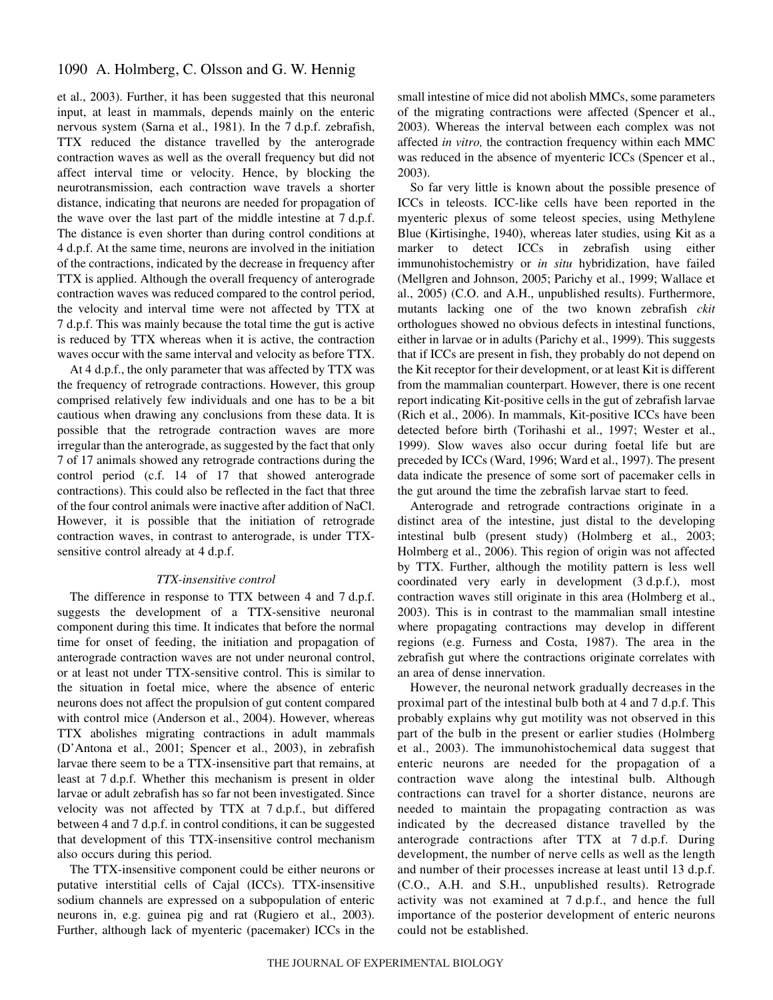## 1090 A. Holmberg, C. Olsson and G. W. Hennig

et al., 2003). Further, it has been suggested that this neuronal input, at least in mammals, depends mainly on the enteric nervous system (Sarna et al., 1981). In the 7 d.p.f. zebrafish, TTX reduced the distance travelled by the anterograde contraction waves as well as the overall frequency but did not affect interval time or velocity. Hence, by blocking the neurotransmission, each contraction wave travels a shorter distance, indicating that neurons are needed for propagation of the wave over the last part of the middle intestine at  $7 d.p.f.$ The distance is even shorter than during control conditions at 4 d.p.f. At the same time, neurons are involved in the initiation of the contractions, indicated by the decrease in frequency after TTX is applied. Although the overall frequency of anterograde contraction waves was reduced compared to the control period, the velocity and interval time were not affected by TTX at 7·d.p.f. This was mainly because the total time the gut is active is reduced by TTX whereas when it is active, the contraction waves occur with the same interval and velocity as before TTX.

At 4 d.p.f., the only parameter that was affected by TTX was the frequency of retrograde contractions. However, this group comprised relatively few individuals and one has to be a bit cautious when drawing any conclusions from these data. It is possible that the retrograde contraction waves are more irregular than the anterograde, as suggested by the fact that only 7 of 17 animals showed any retrograde contractions during the control period (c.f. 14 of 17 that showed anterograde contractions). This could also be reflected in the fact that three of the four control animals were inactive after addition of NaCl. However, it is possible that the initiation of retrograde contraction waves, in contrast to anterograde, is under TTXsensitive control already at 4 d.p.f.

### *TTX-insensitive control*

The difference in response to TTX between 4 and 7 d.p.f. suggests the development of a TTX-sensitive neuronal component during this time. It indicates that before the normal time for onset of feeding, the initiation and propagation of anterograde contraction waves are not under neuronal control, or at least not under TTX-sensitive control. This is similar to the situation in foetal mice, where the absence of enteric neurons does not affect the propulsion of gut content compared with control mice (Anderson et al., 2004). However, whereas TTX abolishes migrating contractions in adult mammals (D'Antona et al., 2001; Spencer et al., 2003), in zebrafish larvae there seem to be a TTX-insensitive part that remains, at least at 7 d.p.f. Whether this mechanism is present in older larvae or adult zebrafish has so far not been investigated. Since velocity was not affected by  $TTX$  at  $7 d.p.f.,$  but differed between 4 and 7 d.p.f. in control conditions, it can be suggested that development of this TTX-insensitive control mechanism also occurs during this period.

The TTX-insensitive component could be either neurons or putative interstitial cells of Cajal (ICCs). TTX-insensitive sodium channels are expressed on a subpopulation of enteric neurons in, e.g. guinea pig and rat (Rugiero et al., 2003). Further, although lack of myenteric (pacemaker) ICCs in the small intestine of mice did not abolish MMCs, some parameters of the migrating contractions were affected (Spencer et al., 2003). Whereas the interval between each complex was not affected *in vitro,* the contraction frequency within each MMC was reduced in the absence of myenteric ICCs (Spencer et al., 2003).

So far very little is known about the possible presence of ICCs in teleosts. ICC-like cells have been reported in the myenteric plexus of some teleost species, using Methylene Blue (Kirtisinghe, 1940), whereas later studies, using Kit as a marker to detect ICCs in zebrafish using either immunohistochemistry or *in situ* hybridization, have failed (Mellgren and Johnson, 2005; Parichy et al., 1999; Wallace et al., 2005) (C.O. and A.H., unpublished results). Furthermore, mutants lacking one of the two known zebrafish *ckit* orthologues showed no obvious defects in intestinal functions, either in larvae or in adults (Parichy et al., 1999). This suggests that if ICCs are present in fish, they probably do not depend on the Kit receptor for their development, or at least Kit is different from the mammalian counterpart. However, there is one recent report indicating Kit-positive cells in the gut of zebrafish larvae (Rich et al., 2006). In mammals, Kit-positive ICCs have been detected before birth (Torihashi et al., 1997; Wester et al., 1999). Slow waves also occur during foetal life but are preceded by ICCs (Ward, 1996; Ward et al., 1997). The present data indicate the presence of some sort of pacemaker cells in the gut around the time the zebrafish larvae start to feed.

Anterograde and retrograde contractions originate in a distinct area of the intestine, just distal to the developing intestinal bulb (present study) (Holmberg et al., 2003; Holmberg et al., 2006). This region of origin was not affected by TTX. Further, although the motility pattern is less well coordinated very early in development (3 d.p.f.), most contraction waves still originate in this area (Holmberg et al., 2003). This is in contrast to the mammalian small intestine where propagating contractions may develop in different regions (e.g. Furness and Costa, 1987). The area in the zebrafish gut where the contractions originate correlates with an area of dense innervation.

However, the neuronal network gradually decreases in the proximal part of the intestinal bulb both at 4 and 7 d.p.f. This probably explains why gut motility was not observed in this part of the bulb in the present or earlier studies (Holmberg et al., 2003). The immunohistochemical data suggest that enteric neurons are needed for the propagation of a contraction wave along the intestinal bulb. Although contractions can travel for a shorter distance, neurons are needed to maintain the propagating contraction as was indicated by the decreased distance travelled by the anterograde contractions after TTX at 7 d.p.f. During development, the number of nerve cells as well as the length and number of their processes increase at least until 13 d.p.f. (C.O., A.H. and S.H., unpublished results). Retrograde activity was not examined at 7 d.p.f., and hence the full importance of the posterior development of enteric neurons could not be established.